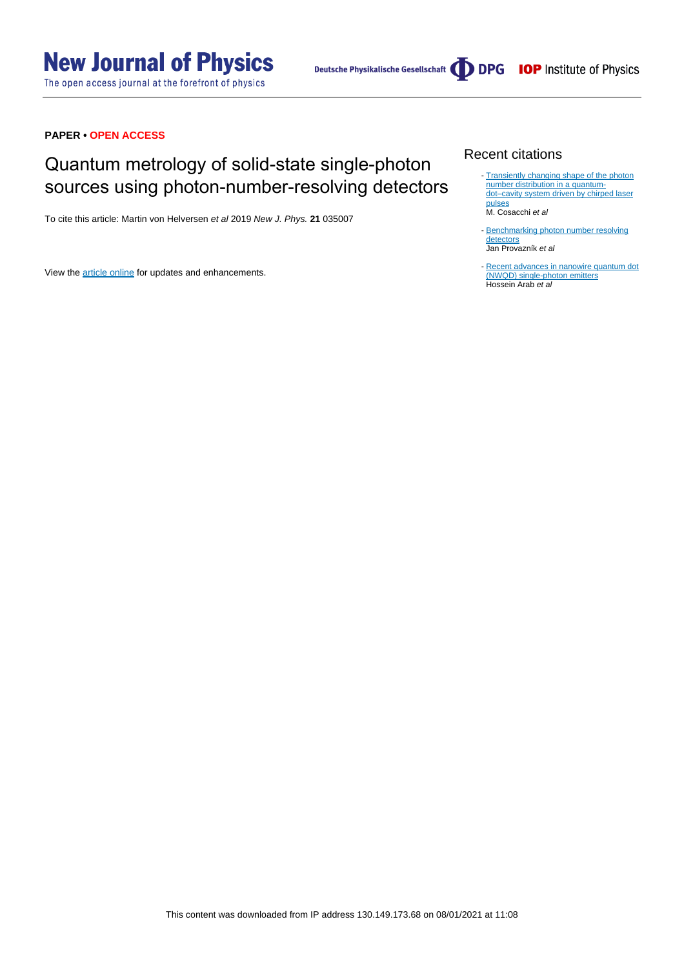# **New Journal of Physics**

The open access journal at the forefront of physics

Deutsche Physikalische Gesellschaft **DDPG** IOP Institute of Physics

# **PAPER • OPEN ACCESS**

# Quantum metrology of solid-state single-photon sources using photon-number-resolving detectors

To cite this article: Martin von Helversen et al 2019 New J. Phys. **21** 035007

View the [article online](https://doi.org/10.1088/1367-2630/ab0609) for updates and enhancements.

# Recent citations

- [Transiently changing shape of the photon](http://dx.doi.org/10.1103/PhysRevB.101.205304) [number distribution in a quantum](http://dx.doi.org/10.1103/PhysRevB.101.205304)[dot–cavity system driven by chirped laser](http://dx.doi.org/10.1103/PhysRevB.101.205304) [pulses](http://dx.doi.org/10.1103/PhysRevB.101.205304) M. Cosacchi et al
- [Benchmarking photon number resolving](http://dx.doi.org/10.1364/OE.389619) [detectors](http://dx.doi.org/10.1364/OE.389619) Jan Provazník et al
- [Recent advances in nanowire quantum dot](http://dx.doi.org/10.1007/s11128-019-2542-9) [\(NWQD\) single-photon emitters](http://dx.doi.org/10.1007/s11128-019-2542-9) Hossein Arab et al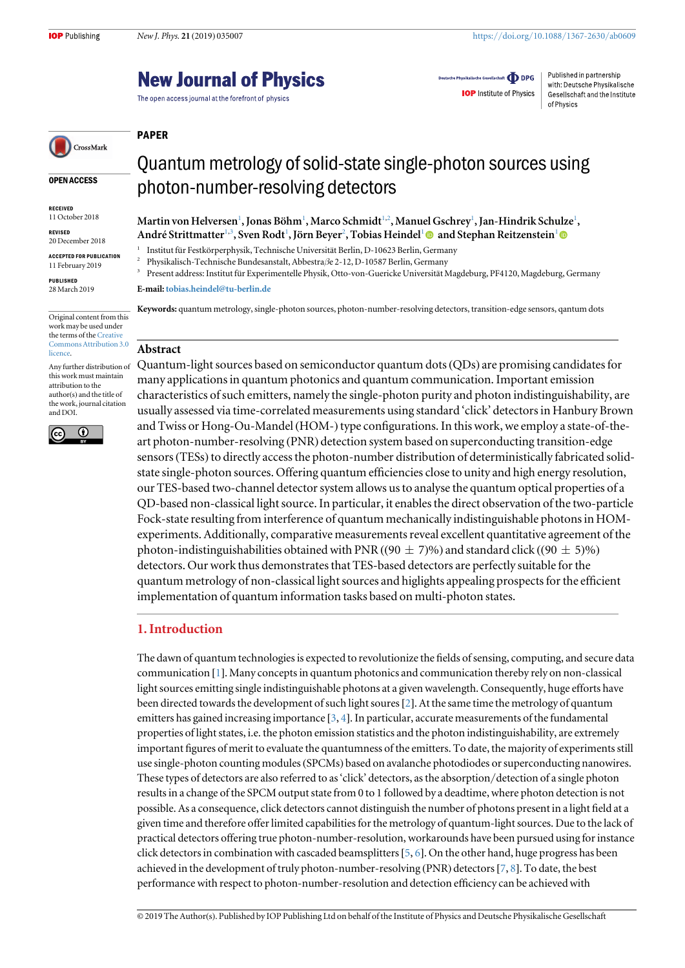# **New Journal of Physics**

The open access journal at the forefront of physics

Deutsche Physikalische Gesellschaft **ODPG** 

with: Deutsche Physikalische **IOP** Institute of Physics Gesellschaft and the Institute of Physics

Published in partnership

CrossMark

OPEN ACCESS

RECEIVED 11 October 2018

REVISED 20 December 2018

ACCEPTED FOR PUBLICATION

11 February 2019

PUBLISHED 28 March 2019

Original content from this work may be used under the terms of the [Creative](http://creativecommons.org/licenses/by/3.0) [Commons Attribution 3.0](http://creativecommons.org/licenses/by/3.0) [licence.](http://creativecommons.org/licenses/by/3.0)

Any further distribution of this work must maintain attribution to the author(s) and the title of the work, journal citation and DOI.



Quantum metrology of solid-state single-photon sources using photon-number-resolving detectors

 $\rm{Martin\ von\ Helversen^1, Ionas\ Böhm^1, Marco\ Schmidt^{1,2}, Manuel\ Gschrev^1, Ian-Hindrik Schulze^1,}$ André Strittmatter<sup>1,3</sup>, Sven Rodt<sup>1</sup>, Jörn Bever<sup>2</sup>, Tobias Heindel<sup>1</sup> @ and Stephan Reitzenstein<sup>1</sup>

<sup>1</sup> Institut für Festkörperphysik, Technische Universität Berlin, D-10623 Berlin, Germany

<sup>2</sup> Physikalisch-Technische Bundesanstalt, Abbestraße 2-12, D-10587 Berlin, Germany<sup>3</sup> Berlin, Germany<sup>3</sup>

<sup>3</sup> Present address: Institut für Experimentelle Physik, Otto-von-Guericke Universität Magdeburg, PF4120, Magdeburg, Germany

#### E-mail:[tobias.heindel@tu-berlin.de](mailto:tobias.heindel@tu-berlin.de)

Keywords: quantum metrology, single-photon sources, photon-number-resolving detectors, transition-edge sensors, qantum dots

### Abstract

PAPER

Quantum-light sources based on semiconductor quantum dots(QDs) are promising candidates for many applications in quantum photonics and quantum communication. Important emission characteristics of such emitters, namely the single-photon purity and photon indistinguishability, are usually assessed via time-correlated measurements using standard 'click' detectors in Hanbury Brown and Twiss or Hong-Ou-Mandel (HOM-) type configurations. In this work, we employ a state-of-theart photon-number-resolving (PNR) detection system based on superconducting transition-edge sensors(TESs) to directly access the photon-number distribution of deterministically fabricated solidstate single-photon sources. Offering quantum efficiencies close to unity and high energy resolution, our TES-based two-channel detector system allows us to analyse the quantum optical properties of a QD-based non-classical light source. In particular, it enables the direct observation of the two-particle Fock-state resulting from interference of quantum mechanically indistinguishable photons in HOMexperiments. Additionally, comparative measurements reveal excellent quantitative agreement of the photon-indistinguishabilities obtained with PNR ((90  $\pm$  7)%) and standard click ((90  $\pm$  5)%) detectors. Our work thus demonstrates that TES-based detectors are perfectly suitable for the quantum metrology of non-classical light sources and higlights appealing prospects for the efficient implementation of quantum information tasks based on multi-photon states.

# 1. Introduction

The dawn of quantum technologies is expected to revolutionize the fields of sensing, computing, and secure data communication [[1](#page-6-0)]. Many concepts in quantum photonics and communication thereby rely on non-classical light sources emitting single indistinguishable photons at a given wavelength. Consequently, huge efforts have been directed towards the development of such light soures[[2](#page-6-0)]. At the same time the metrology of quantum emitters has gained increasing importance  $[3, 4]$  $[3, 4]$  $[3, 4]$  $[3, 4]$  $[3, 4]$ . In particular, accurate measurements of the fundamental properties of light states, i.e. the photon emission statistics and the photon indistinguishability, are extremely important figures of merit to evaluate the quantumness of the emitters. To date, the majority of experiments still use single-photon counting modules(SPCMs) based on avalanche photodiodes or superconducting nanowires. These types of detectors are also referred to as'click' detectors, as the absorption/detection of a single photon results in a change of the SPCM output state from 0 to 1 followed by a deadtime, where photon detection is not possible. As a consequence, click detectors cannot distinguish the number of photons present in a light field at a given time and therefore offer limited capabilities for the metrology of quantum-light sources. Due to the lack of practical detectors offering true photon-number-resolution, workarounds have been pursued using for instance click detectors in combination with cascaded beamsplitters[[5,](#page-7-0) [6](#page-7-0)]. On the other hand, huge progress has been achieved in the development of truly photon-number-resolving (PNR) detectors[[7,](#page-7-0) [8](#page-7-0)]. To date, the best performance with respect to photon-number-resolution and detection efficiency can be achieved with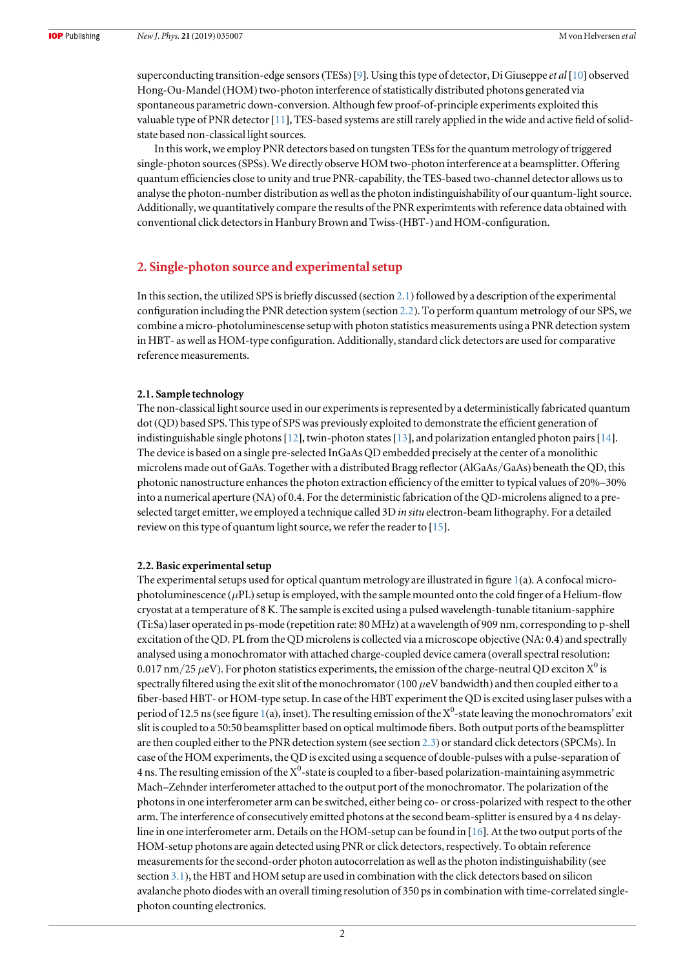superconducting transition-edge sensors (TESs) [[9](#page-7-0)]. Using this type of detector, Di Giuseppe et al [[10](#page-7-0)] observed Hong-Ou-Mandel (HOM) two-photon interference of statistically distributed photons generated via spontaneous parametric down-conversion. Although few proof-of-principle experiments exploited this valuable type of PNR detector [[11](#page-7-0)], TES-based systems are still rarely applied in the wide and active field of solidstate based non-classical light sources.

In this work, we employ PNR detectors based on tungsten TESs for the quantum metrology of triggered single-photon sources(SPSs). We directly observe HOM two-photon interference at a beamsplitter. Offering quantum efficiencies close to unity and true PNR-capability, the TES-based two-channel detector allows us to analyse the photon-number distribution as well as the photon indistinguishability of our quantum-light source. Additionally, we quantitatively compare the results of the PNR experimtents with reference data obtained with conventional click detectors in Hanbury Brown and Twiss-(HBT-) and HOM-configuration.

# 2. Single-photon source and experimental setup

In this section, the utilized SPS is briefly discussed (section 2.1) followed by a description of the experimental configuration including the PNR detection system (section 2.2). To perform quantum metrology of our SPS, we combine a micro-photoluminescense setup with photon statistics measurements using a PNR detection system in HBT- as well as HOM-type configuration. Additionally, standard click detectors are used for comparative reference measurements.

#### 2.1. Sample technology

The non-classical light source used in our experiments is represented by a deterministically fabricated quantum dot(QD) based SPS. This type of SPS was previously exploited to demonstrate the efficient generation of indistinguishable single photons [[12](#page-7-0)], twin-photon states [[13](#page-7-0)], and polarization entangled photon pairs [[14](#page-7-0)]. The device is based on a single pre-selected InGaAs QD embedded precisely at the center of a monolithic microlens made out of GaAs. Together with a distributed Bragg reflector(AlGaAs/GaAs) beneath the QD, this photonic nanostructure enhances the photon extraction efficiency of the emitter to typical values of 20%–30% into a numerical aperture (NA) of 0.4. For the deterministic fabrication of the QD-microlens aligned to a preselected target emitter, we employed a technique called 3D in situ electron-beam lithography. For a detailed review on this type of quantum light source, we refer the reader to [[15](#page-7-0)].

#### 2.2. Basic experimental setup

The experimental setups used for optical quantum metrology are illustrated in figure [1](#page-3-0)(a). A confocal microphotoluminescence ( $\mu$ PL) setup is employed, with the sample mounted onto the cold finger of a Helium-flow cryostat at a temperature of 8 K. The sample is excited using a pulsed wavelength-tunable titanium-sapphire (Ti:Sa) laser operated in ps-mode (repetition rate: 80 MHz) at a wavelength of 909 nm, corresponding to p-shell excitation of the QD. PL from the QD microlens is collected via a microscope objective (NA: 0.4) and spectrally analysed using a monochromator with attached charge-coupled device camera (overall spectral resolution: 0.017 nm/25  $\mu$ eV). For photon statistics experiments, the emission of the charge-neutral QD exciton X<sup>0</sup> is spectrally filtered using the exit slit of the monochromator (100  $\mu$ eV bandwidth) and then coupled either to a fiber-based HBT- or HOM-type setup. In case of the HBT experiment the QD is excited using laser pulses with a period of [1](#page-3-0)2.5 ns (see figure 1(a), inset). The resulting emission of the  $X^0$ -state leaving the monochromators' exit slit is coupled to a 50:50 beamsplitter based on optical multimode fibers. Both output ports of the beamsplitter are then coupled either to the PNR detection system (see section [2.3](#page-3-0)) or standard click detectors(SPCMs). In case of the HOM experiments, the QD is excited using a sequence of double-pulses with a pulse-separation of 4 ns. The resulting emission of the  $\rm X^0$ -state is coupled to a fiber-based polarization-maintaining asymmetric Mach–Zehnder interferometer attached to the output port of the monochromator. The polarization of the photons in one interferometer arm can be switched, either being co- or cross-polarized with respect to the other arm. The interference of consecutively emitted photons at the second beam-splitter is ensured by a 4 ns delayline in one interferometer arm. Details on the HOM-setup can be found in [[16](#page-7-0)]. At the two output ports of the HOM-setup photons are again detected using PNR or click detectors, respectively. To obtain reference measurements for the second-order photon autocorrelation as well as the photon indistinguishability (see section [3.1](#page-4-0)), the HBT and HOM setup are used in combination with the click detectors based on silicon avalanche photo diodes with an overall timing resolution of 350 ps in combination with time-correlated singlephoton counting electronics.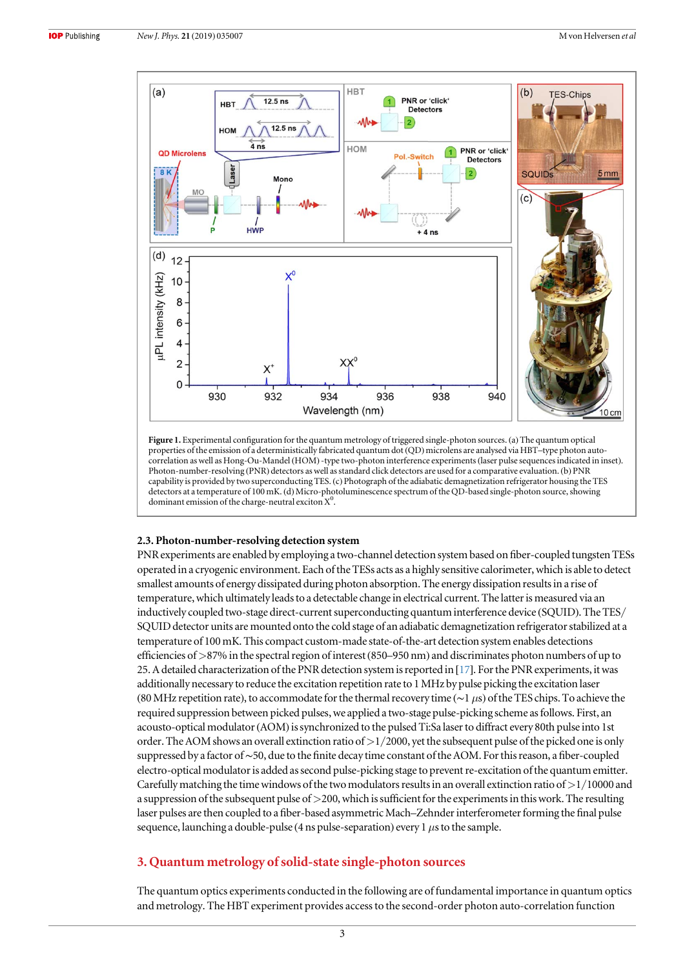<span id="page-3-0"></span>

Figure 1. Experimental configuration for the quantum metrology of triggered single-photon sources. (a) The quantum optical properties of the emission of a deterministically fabricated quantum dot (QD) microlens are analysed via HBT–type photon autocorrelation as well as Hong-Ou-Mandel (HOM)-type two-photon interference experiments(laser pulse sequences indicated in inset). Photon-number-resolving (PNR) detectors as well as standard click detectors are used for a comparative evaluation.(b) PNR capability is provided by two superconducting TES. (c) Photograph of the adiabatic demagnetization refrigerator housing the TES detectors at a temperature of 100 mK. (d) Micro-photoluminescence spectrum of the QD-based single-photon source, showing dominant emission of the charge-neutral exciton X<sup>0</sup>.

#### 2.3. Photon-number-resolving detection system

PNR experiments are enabled by employing a two-channel detection system based on fiber-coupled tungsten TESs operated in a cryogenic environment. Each of the TESs acts as a highly sensitive calorimeter, which is able to detect smallest amounts of energy dissipated during photon absorption. The energy dissipation results in a rise of temperature, which ultimately leads to a detectable change in electrical current. The latter is measured via an inductively coupled two-stage direct-current superconducting quantum interference device (SQUID). The TES/ SQUID detector units are mounted onto the cold stage of an adiabatic demagnetization refrigerator stabilized at a temperature of 100 mK. This compact custom-made state-of-the-art detection system enables detections efficiencies of>87% in the spectral region of interest(850–950 nm) and discriminates photon numbers of up to 25. A detailed characterization of the PNR detection system is reported in [[17](#page-7-0)]. For the PNR experiments, it was additionally necessary to reduce the excitation repetition rate to 1 MHz by pulse picking the excitation laser (80 MHz repetition rate), to accommodate for the thermal recovery time ( $\sim$ 1 µs) of the TES chips. To achieve the required suppression between picked pulses, we applied a two-stage pulse-picking scheme as follows. First, an acousto-optical modulator(AOM)is synchronized to the pulsed Ti:Sa laser to diffract every 80th pulse into 1st order. The AOM shows an overall extinction ratio of  $>1/2000$ , yet the subsequent pulse of the picked one is only suppressed by a factor of∼50, due to the finite decay time constant of the AOM. For this reason, a fiber-coupled electro-optical modulator is added as second pulse-picking stage to prevent re-excitation of the quantum emitter. Carefully matching the time windows of the two modulators results in an overall extinction ratio of  $>1/10000$  and a suppression of the subsequent pulse of >200, which is sufficient for the experiments in this work. The resulting laser pulses are then coupled to a fiber-based asymmetric Mach–Zehnder interferometer forming the final pulse sequence, launching a double-pulse (4 ns pulse-separation) every 1  $\mu$ s to the sample.

# 3. Quantum metrology of solid-state single-photon sources

The quantum optics experiments conducted in the following are of fundamental importance in quantum optics and metrology. The HBT experiment provides access to the second-order photon auto-correlation function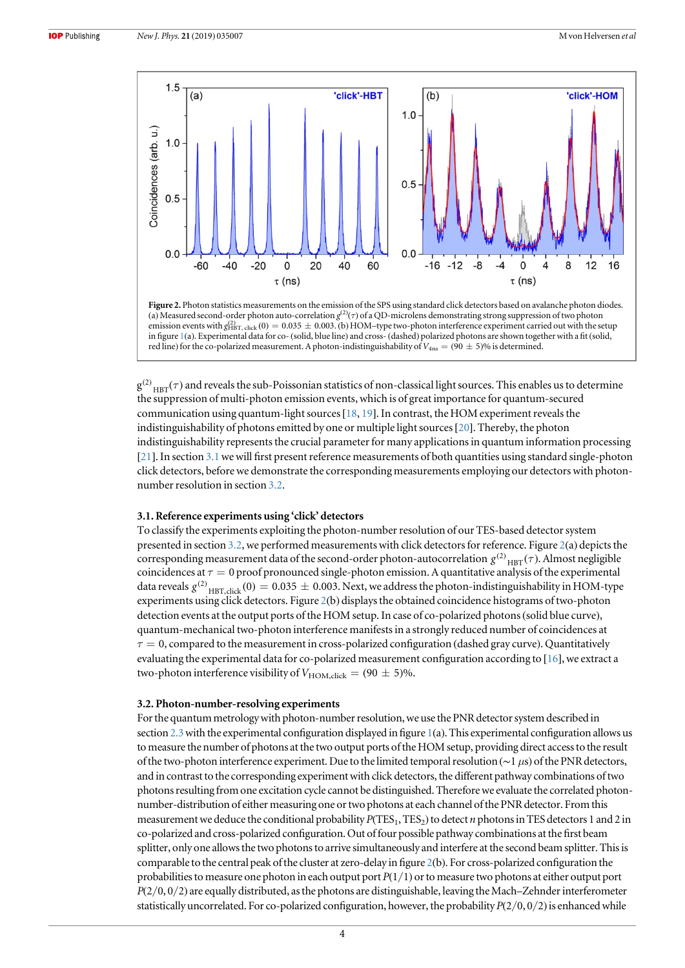<span id="page-4-0"></span>

Figure 2. Photon statistics measurements on the emission of the SPS using standard click detectors based on avalanche photon diodes. (a) Measured second-order photon auto-correlation  $g^{(2)}(\tau)$  of a QD-microlens demonstrating strong suppression of two photon emission events with  $g_{HBT, click}^{(2)}$  (0) = 0.035  $\pm$  0.003. (b) HOM–type two-photon interference experiment carried out with the setup in figure [1](#page-3-0)(a). Experimental data for co-(solid, blue line) and cross-(dashed) polarized photons are shown together with a fit(solid, red line) for the co-polarized measurement. A photon-indistinguishability of  $V_{\rm 4ns} = (90\pm5)\%$  is determined.

 $g^{(2)}_{HBT}(\tau)$  and reveals the sub-Poissonian statistics of non-classical light sources. This enables us to determine the suppression of multi-photon emission events, which is of great importance for quantum-secured communication using quantum-light sources[[18](#page-7-0), [19](#page-7-0)]. In contrast, the HOM experiment reveals the indistinguishability of photons emitted by one or multiple light sources[[20](#page-7-0)]. Thereby, the photon indistinguishability represents the crucial parameter for many applications in quantum information processing [[21](#page-7-0)]. In section 3.1we will first present reference measurements of both quantities using standard single-photon click detectors, before we demonstrate the corresponding measurements employing our detectors with photonnumber resolution in section 3.2.

#### 3.1. Reference experiments using 'click' detectors

To classify the experiments exploiting the photon-number resolution of our TES-based detector system presented in section 3.2, we performed measurements with click detectors for reference. Figure 2(a) depicts the corresponding measurement data of the second-order photon-autocorrelation  $g^{(2)}$ <sub>HBT</sub> $(\tau)$ . Almost negligible coincidences at  $\tau = 0$  proof pronounced single-photon emission. A quantitative analysis of the experimental data reveals  $g^{(2)}$ <sub>HBT,click</sub> (0) = 0.035  $\pm$  0.003. Next, we address the photon-indistinguishability in HOM-type experiments using click detectors. Figure 2(b) displays the obtained coincidence histograms of two-photon detection events at the output ports of the HOM setup. In case of co-polarized photons(solid blue curve), quantum-mechanical two-photon interference manifests in a strongly reduced number of coincidences at  $\tau = 0$ , compared to the measurement in cross-polarized configuration (dashed gray curve). Quantitatively evaluating the experimental data for co-polarized measurement configuration according to [[16](#page-7-0)], we extract a two-photon interference visibility of  $V_{\text{HOM,click}} = (90 \pm 5)\%$ .

#### 3.2. Photon-number-resolving experiments

For the quantum metrology with photon-number resolution, we use the PNR detector system described in section [2.3](#page-3-0) with the experimental configuration displayed in figure  $1(a)$  $1(a)$ . This experimental configuration allows us to measure the number of photons at the two output ports of the HOM setup, providing direct access to the result of the two-photon interference experiment. Due to the limited temporal resolution (∼1 μs) of the PNR detectors, and in contrast to the corresponding experiment with click detectors, the different pathway combinations of two photons resulting from one excitation cycle cannot be distinguished. Therefore we evaluate the correlated photonnumber-distribution of either measuring one or two photons at each channel of the PNR detector. From this measurement we deduce the conditional probability  $P(TES_1, TES_2)$  to detect *n* photons in TES detectors 1 and 2 in co-polarized and cross-polarized configuration. Out offour possible pathway combinations at the first beam splitter, only one allows the two photons to arrive simultaneously and interfere at the second beam splitter. This is comparable to the central peak of the cluster at zero-delay in figure 2(b). For cross-polarized configuration the probabilities to measure one photon in each output port  $P(1/1)$  or to measure two photons at either output port  $P(2/0, 0/2)$  are equally distributed, as the photons are distinguishable, leaving the Mach–Zehnder interferometer statistically uncorrelated. For co-polarized configuration, however, the probability  $P(2/0, 0/2)$  is enhanced while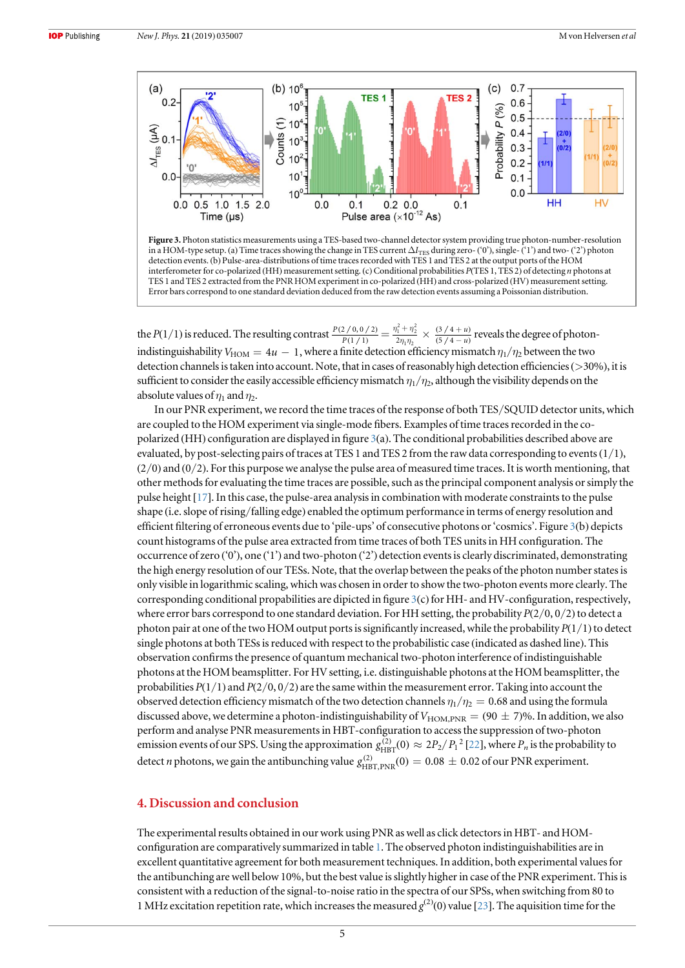<span id="page-5-0"></span>



the  $P(1/1)$  is reduced. The resulting contrast  $\frac{P(2/0,0/2)}{P(1/1)}$ *P P*  $\frac{2}{p(1/1)} = \frac{\eta_1^2 + \eta_1^2}{2\eta_1\eta_2^2}$ +  $\frac{\eta_1^2 + \eta_2^2}{2\eta_1\eta_2}$  $\frac{+\eta_2^2}{\eta_1 \eta_2} \times \frac{(3/4 + \pi)}{(5/4 - \pi)}$  $(3/4+u)$  $(5/4 - u)$ *u u*  $\frac{(3/4+u)}{(5/4-u)}$  reveals the degree of photonindistinguishability  $V_{\text{HOM}} = 4u - 1$ , where a finite detection efficiency mismatch  $\eta_1/\eta_2$  between the two detection channels is taken into account. Note, that in cases of reasonably high detection efficiencies (>30%), it is sufficient to consider the easily accessible efficiency mismatch  $\eta_1/\eta_2$ , although the visibility depends on the absolute values of  $\eta_1$  and  $\eta_2$ .

In our PNR experiment, we record the time traces of the response of both TES/SQUID detector units, which are coupled to the HOM experiment via single-mode fibers. Examples of time traces recorded in the copolarized (HH) configuration are displayed in figure 3(a). The conditional probabilities described above are evaluated, by post-selecting pairs of traces at TES 1 and TES 2 from the raw data corresponding to events  $(1/1)$ ,  $(2/0)$  and  $(0/2)$ . For this purpose we analyse the pulse area of measured time traces. It is worth mentioning, that other methods for evaluating the time traces are possible, such as the principal component analysis or simply the pulse height [[17](#page-7-0)]. In this case, the pulse-area analysis in combination with moderate constraints to the pulse shape (i.e. slope of rising/falling edge) enabled the optimum performance in terms of energy resolution and efficient filtering of erroneous events due to 'pile-ups' of consecutive photons or'cosmics'. Figure 3(b) depicts count histograms of the pulse area extracted from time traces of both TES units in HH configuration. The occurrence of zero ('0'), one ('1') and two-photon ('2') detection events is clearly discriminated, demonstrating the high energy resolution of our TESs. Note, that the overlap between the peaks of the photon number states is only visible in logarithmic scaling, which was chosen in order to show the two-photon events more clearly. The corresponding conditional propabilities are dipicted in figure  $3(c)$  for HH- and HV-configuration, respectively, where error bars correspond to one standard deviation. For HH setting, the probability  $P(2/0, 0/2)$  to detect a photon pair at one of the two HOM output ports is significantly increased, while the probability  $P(1/1)$  to detect single photons at both TESs is reduced with respect to the probabilistic case (indicated as dashed line). This observation confirms the presence of quantum mechanical two-photon interference of indistinguishable photons at the HOM beamsplitter. For HV setting, i.e. distinguishable photons at the HOM beamsplitter, the probabilities  $P(1/1)$  and  $P(2/0, 0/2)$  are the same within the measurement error. Taking into account the observed detection efficiency mismatch of the two detection channels  $\eta_1/\eta_2 = 0.68$  and using the formula discussed above, we determine a photon-indistinguishability of  $V_{\rm HOM,PNR} = (90 \pm 7)\%$ . In addition, we also perform and analyse PNR measurements in HBT-configuration to access the suppression of two-photon emission events of our SPS. Using the approximation  $g_{HBT}^{(2)}(0) \approx 2P_2/P_1^2$  [[22](#page-7-0)], where  $P_n$  is the probability to detect *n* photons, we gain the antibunching value  $g_{\rm HBT,PNR}^{(2)}(0) = 0.08 \pm 0.02$  of our PNR experiment.

# 4. Discussion and conclusion

The experimental results obtained in our work using PNR as well as click detectors in HBT- and HOMconfiguration are comparatively summarized in table [1](#page-6-0). The observed photon indistinguishabilities are in excellent quantitative agreement for both measurement techniques. In addition, both experimental values for the antibunching are well below 10%, but the best value is slightly higher in case of the PNR experiment. This is consistent with a reduction of the signal-to-noise ratio in the spectra of our SPSs, when switching from 80 to 1 MHz excitation repetition rate, which increases the measured  $g^{(2)}(0)$  value [[23](#page-7-0)]. The aquisition time for the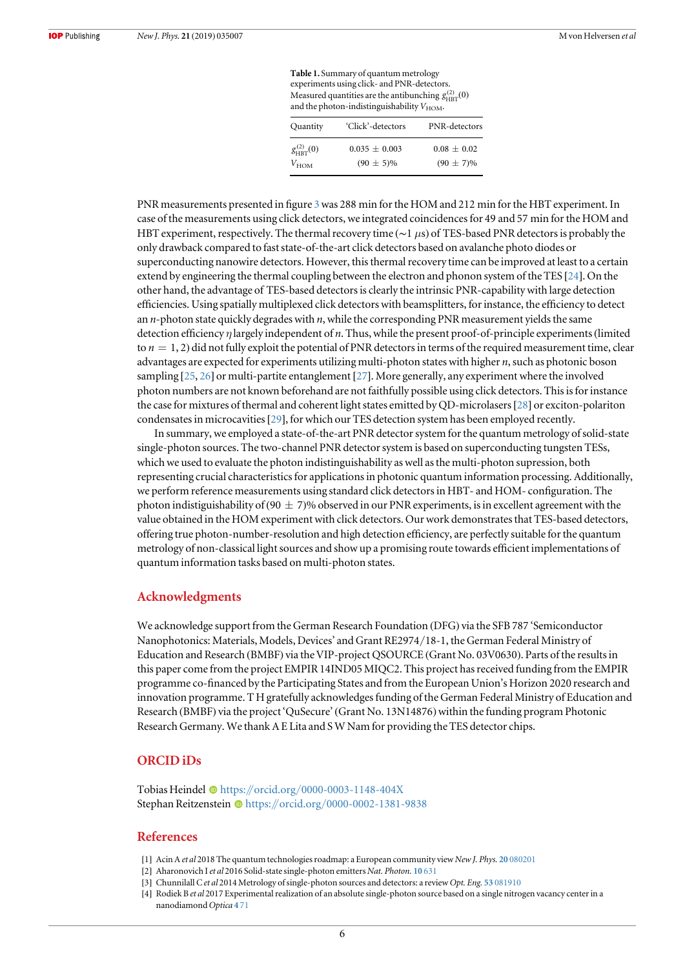Table 1. Summary of quantum metrology experiments using click- and PNR-detectors. Measured quantities are the antibunching  $g^{(2)}_{\rm HBT}(0)$ and the photon-indistinguishability  $V_{\text{HOM}}$ .

| Quantity                                   | 'Click'-detectors                   | PNR-detectors                   |
|--------------------------------------------|-------------------------------------|---------------------------------|
| $g_{\text{HBT}}^{(2)}(0)$<br>$V_{\rm HOM}$ | $0.035 \pm 0.003$<br>$(90 \pm 5)\%$ | $0.08 + 0.02$<br>$(90 \pm 7)\%$ |

<span id="page-6-0"></span>PNR measurements presented in figure [3](#page-5-0) was 288 min for the HOM and 212 min for the HBT experiment. In case of the measurements using click detectors, we integrated coincidences for 49 and 57 min for the HOM and HBT experiment, respectively. The thermal recovery time ( $∼1 \mu s$ ) of TES-based PNR detectors is probably the only drawback compared to fast state-of-the-art click detectors based on avalanche photo diodes or superconducting nanowire detectors. However, this thermal recovery time can be improved at least to a certain extend by engineering the thermal coupling between the electron and phonon system of the TES [[24](#page-7-0)]. On the other hand, the advantage of TES-based detectors is clearly the intrinsic PNR-capability with large detection efficiencies. Using spatially multiplexed click detectors with beamsplitters, for instance, the efficiency to detect an  $n$ -photon state quickly degrades with  $n$ , while the corresponding PNR measurement yields the same detection efficiency η largely independent of n. Thus, while the present proof-of-principle experiments(limited to  $n = 1, 2$ ) did not fully exploit the potential of PNR detectors in terms of the required measurement time, clear advantages are expected for experiments utilizing multi-photon states with higher  $n$ , such as photonic boson sampling [[25,](#page-7-0) [26](#page-7-0)] or multi-partite entanglement [[27](#page-7-0)]. More generally, any experiment where the involved photon numbers are not known beforehand are not faithfully possible using click detectors. This is for instance the case for mixtures of thermal and coherent light states emitted by QD-microlasers[[28](#page-7-0)] or exciton-polariton condensates in microcavities[[29](#page-7-0)], for which our TES detection system has been employed recently.

In summary, we employed a state-of-the-art PNR detector system for the quantum metrology of solid-state single-photon sources. The two-channel PNR detector system is based on superconducting tungsten TESs, which we used to evaluate the photon indistinguishability as well as the multi-photon supression, both representing crucial characteristics for applications in photonic quantum information processing. Additionally, we perform reference measurements using standard click detectors in HBT- and HOM- configuration. The photon indistiguishability of (90  $\pm$  7)% observed in our PNR experiments, is in excellent agreement with the value obtained in the HOM experiment with click detectors. Our work demonstrates that TES-based detectors, offering true photon-number-resolution and high detection efficiency, are perfectly suitable for the quantum metrology of non-classical light sources and show up a promising route towards efficient implementations of quantum information tasks based on multi-photon states.

### Acknowledgments

We acknowledge support from the German Research Foundation (DFG) via the SFB 787 'Semiconductor Nanophotonics: Materials, Models, Devices' and Grant RE2974/18-1, the German Federal Ministry of Education and Research (BMBF) via the VIP-project QSOURCE (Grant No. 03V0630). Parts of the results in this paper come from the project EMPIR 14IND05 MIQC2. This project has received funding from the EMPIR programme co-financed by the Participating States and from the European Union's Horizon 2020 research and innovation programme. T H gratefully acknowledges funding of the German Federal Ministry of Education and Research (BMBF) via the project 'QuSecure' (Grant No. 13N14876) within the funding program Photonic Research Germany. We thank A E Lita and S W Nam for providing the TES detector chips.

# ORCID iDs

Tobias Heindel C[https:](https://orcid.org/0000-0003-1148-404X)//orcid.org/[0000-0003-1148-404X](https://orcid.org/0000-0003-1148-404X) Stephan Reitzenstein C[https:](https://orcid.org/0000-0002-1381-9838)//orcid.org/[0000-0002-1381-9838](https://orcid.org/0000-0002-1381-9838)

# **References**

- [1] Acin A et al 2018 The quantum technologies roadmap: a European community view New J. Phys. 20 [080201](https://doi.org/10.1088/1367-2630/aad1ea)
- [2] Aharonovich I et al 2016 Solid-state single-photon emitters Nat. Photon. 10 [631](https://doi.org/10.1038/nphoton.2016.186)
- [3] Chunnilall C et al 2014 Metrology of single-photon sources and detectors: a review Opt. Eng. 53 [081910](https://doi.org/10.1117/1.OE.53.8.081910)
- [4] Rodiek B et al 2017 Experimental realization of an absolute single-photon source based on a single nitrogen vacancy center in a nanodiamond Optica 4 [71](https://doi.org/10.1364/OPTICA.4.000071)